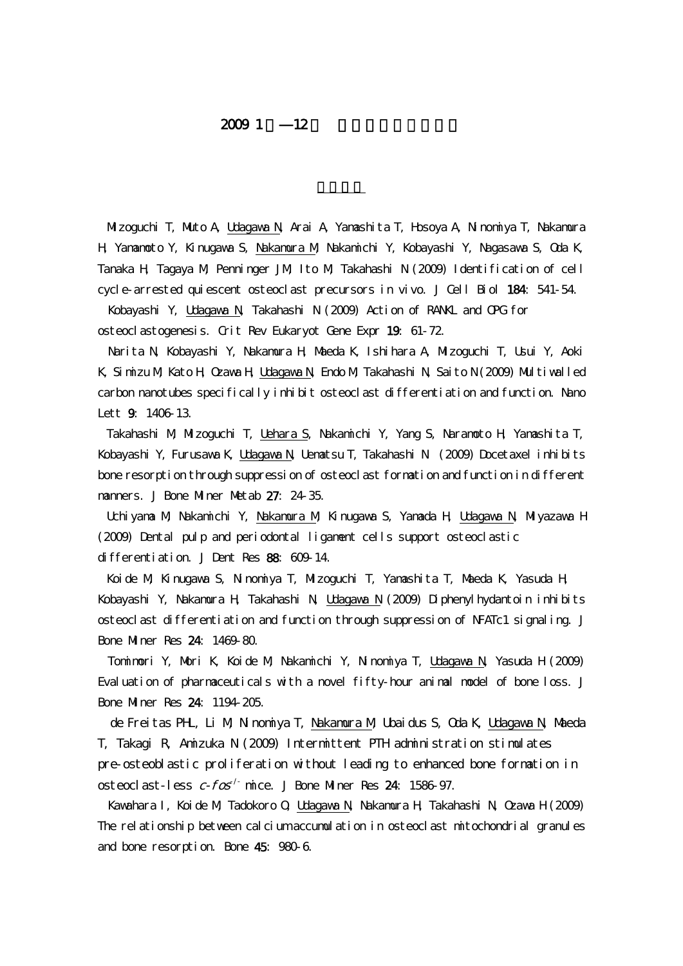## $20091$  12

Mizoguchi T, Muto A, Udagawa N, Arai A, Yamashita T, Hosoya A, Ninomiya T, Nakamura H, Yamamoto Y, Kinugawa S, Nakamura M, Nakamichi Y, Kobayashi Y, Nagasawa S, Oda K, Tanaka H, Tagaya M, Penninger JM, Ito M, Takahashi N (2009) Identification of cell cycle-arrested quiescent osteoclast precursors in vivo. J Cell Biol 184: 541-54.

Kobayashi Y, Udagawa N, Takahashi N (2009) Action of RANKL and OPG for osteoclastogenesis. Crit Rev Eukaryot Gene Expr 19: 61-72.

Narita N, Kobayashi Y, Nakamura H, Maeda K, Ishihara A, Mizoguchi T, Usui Y, Aoki K, Simizu M, Kato H, Ozawa H, Udagawa N, Endo M, Takahashi N, Saito N (2009) Multiwalled carbon nanotubes specifically inhibit osteoclast differentiation and function. Nano Lett 9. 1406-13.

Takahashi M, Mizoguchi T, Uehara S, Nakamichi Y, Yang S, Naramoto H, Yamashita T, Kobayashi Y, Furusawa K, Udagawa N, Uematsu T, Takahashi N (2009) Docetaxel inhibits bone resorption through suppression of osteoclast formation and function in different manners. J Bone Miner Metab 27: 24-35.

Uchiyama M, Nakamichi Y, Nakamura M, Kinugawa S, Yamada H, Udagawa N, Miyazawa H (2009) Dental pulp and periodontal ligament cells support osteoclastic differentiation. J Dent Res 88: 609-14.

Koide M, Kinugawa S, Ninomiya T, Mizoguchi T, Yamashita T, Maeda K, Yasuda H, Kobayashi Y, Nakamura H, Takahashi N, Udagawa N (2009) Diphenylhydantoin inhibits osteoclast differentiation and function through suppression of NFATc1 signaling. J Bone Miner Res 24: 1469-80.

Tomimori Y, Mori K, Koide M, Nakamichi Y, Ninomiya T, Udagawa N, Yasuda H (2009) Evaluation of pharmaceuticals with a novel fifty-hour animal model of bone loss. J Bone Miner Res 24: 1194-205.

de Freitas PHL, Li M, Ninomiya T, Nakamura M, Ubaidus S, Oda K, Udagawa N, Maeda T, Takagi R, Amizuka N (2009) Intermittent PTH administration stimulates pre-osteoblastic proliferation without leading to enhanced bone formation in osteoclast-less  $c$ - $f$ os<sup>-/-</sup> mice. J Bone Miner Res 24: 1586-97.

Kawahara I, Koide M, Tadokoro O, Udagawa N, Nakamura H, Takahashi N, Ozawa H (2009) The relationship between calcium accumulation in osteoclast mitochondrial granules and bone resorption. Bone 45: 980-6.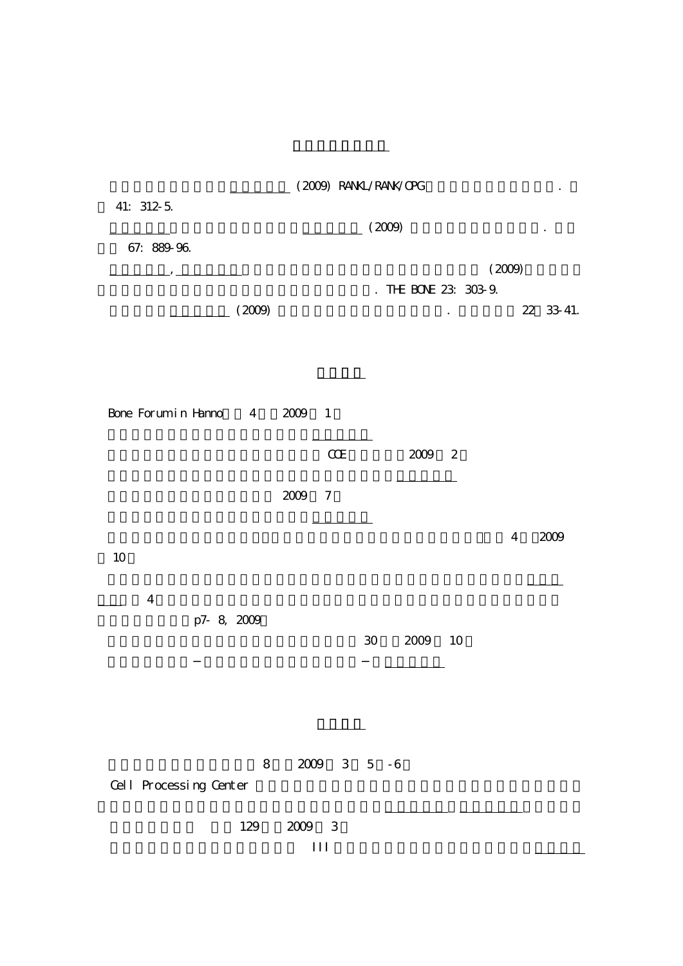|                        | (2009) RANKL/RANK/CPG<br>(2009)     |              |                                   |  |  |  |  |  |  |
|------------------------|-------------------------------------|--------------|-----------------------------------|--|--|--|--|--|--|
| 41: 312-5.             |                                     |              |                                   |  |  |  |  |  |  |
| 67: 889-96.            |                                     |              |                                   |  |  |  |  |  |  |
|                        |                                     | $\mathbf{r}$ | (2009)<br>THE BONE 23: 303-9.     |  |  |  |  |  |  |
| (2009)                 |                                     |              | 22 33 41.<br>$\ddot{\phantom{0}}$ |  |  |  |  |  |  |
|                        |                                     |              |                                   |  |  |  |  |  |  |
|                        |                                     |              |                                   |  |  |  |  |  |  |
| Bone Forum in Hanno 4  | 2009<br>$\overline{\phantom{0}}$    |              |                                   |  |  |  |  |  |  |
|                        | $C\!C\!E$                           | 2009         | $\overline{\phantom{a}}^2$        |  |  |  |  |  |  |
|                        | 2009<br>$\boldsymbol{7}$            |              |                                   |  |  |  |  |  |  |
|                        |                                     |              |                                   |  |  |  |  |  |  |
| $10$                   |                                     |              | $\overline{4}$<br>2009            |  |  |  |  |  |  |
| $\overline{4}$         |                                     |              |                                   |  |  |  |  |  |  |
| p7 8, 2009             |                                     |              |                                   |  |  |  |  |  |  |
|                        |                                     | 30<br>2009   | 10                                |  |  |  |  |  |  |
|                        |                                     |              |                                   |  |  |  |  |  |  |
|                        |                                     |              |                                   |  |  |  |  |  |  |
| $8\,$                  |                                     |              |                                   |  |  |  |  |  |  |
| Cell Processing Center |                                     |              |                                   |  |  |  |  |  |  |
| 129                    | $2009\,$<br>$\overline{\mathbf{3}}$ |              |                                   |  |  |  |  |  |  |
|                        | $\rm III$                           |              |                                   |  |  |  |  |  |  |

その他学術著作物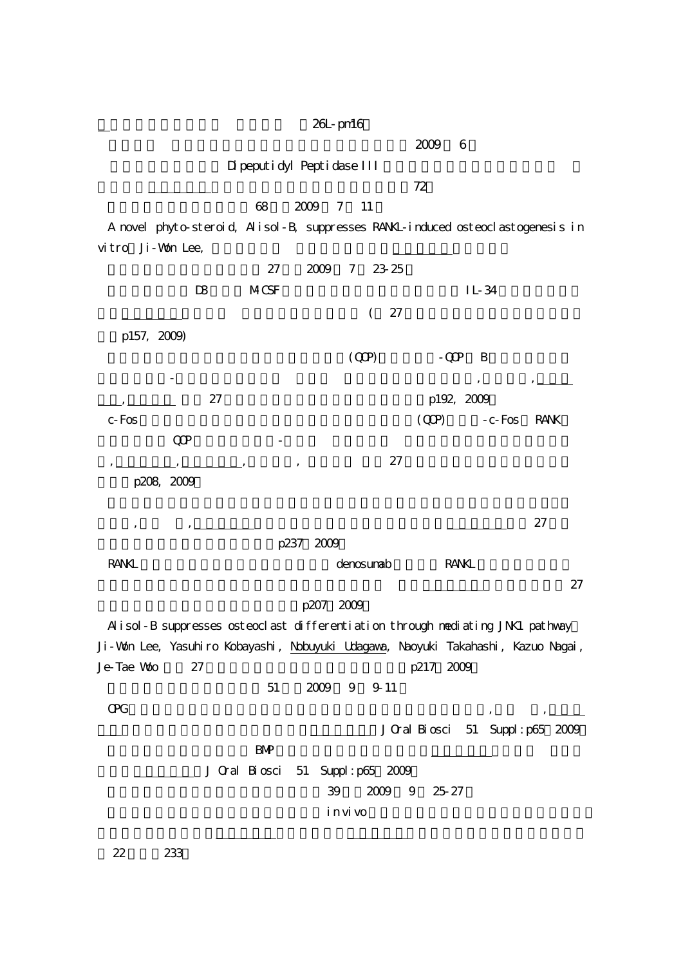26L-pm16

 $2009$  6

Dipeputidyl Peptidase III

 $72$ 

68 2009 7 11

A novel phyto-steroid, Alisol-B, suppresses RANKL-induced osteoclastogenesis in vitro Ji-Won Lee,

|              |                                                                                   | 27            | 2009      | 23 25<br>7      |                 |                    |             |
|--------------|-----------------------------------------------------------------------------------|---------------|-----------|-----------------|-----------------|--------------------|-------------|
|              | $\mathbf{D}$                                                                      | <b>MCSF</b>   |           |                 |                 | $IL-34$            |             |
|              |                                                                                   |               |           | 27<br>$\left($  |                 |                    |             |
| p157, 2009)  |                                                                                   |               |           |                 |                 |                    |             |
|              |                                                                                   |               |           | (QP)            | $-QQ$           | B                  |             |
|              |                                                                                   |               |           |                 |                 |                    |             |
|              | 27                                                                                |               |           |                 | p192, 2009      |                    |             |
| $c$ - $F$ os |                                                                                   |               |           |                 | (QP)            | $-c$ - $Fos$       | <b>RANK</b> |
|              | $\mathbb{Q}P$                                                                     |               |           |                 |                 |                    |             |
|              |                                                                                   |               |           | 27              |                 |                    |             |
| p208, 2009   |                                                                                   |               |           |                 |                 |                    |             |
|              |                                                                                   |               |           |                 |                 |                    |             |
|              |                                                                                   |               |           |                 |                 |                    | 27          |
|              |                                                                                   | p237          | 2009      |                 |                 |                    |             |
| <b>RANKL</b> |                                                                                   |               |           | denosunab       | <b>RANKL</b>    |                    |             |
|              |                                                                                   |               |           |                 |                 |                    | 27          |
|              |                                                                                   |               | p207 2009 |                 |                 |                    |             |
|              | Alisol-B suppresses osteoclast differentiation through nediating JNK1 pathway     |               |           |                 |                 |                    |             |
|              | Ji-Won Lee, Yasuhiro Kobayashi, Nobuyuki Udagawa, Naoyuki Takahashi, Kazuo Nagai, |               |           |                 |                 |                    |             |
| Je-Tae Woo   | 27                                                                                |               |           |                 | p217 2009       |                    |             |
|              |                                                                                   | 51            | 2009      | 9<br>9-11       |                 |                    |             |
| Œ            |                                                                                   |               |           |                 |                 |                    |             |
|              |                                                                                   |               |           |                 | J Oral Bi osci  | 51 Suppl: p65 2009 |             |
|              |                                                                                   | <b>BMP</b>    |           |                 |                 |                    |             |
|              |                                                                                   | J Cral Biosci | 51        | Suppl: p65 2009 |                 |                    |             |
|              |                                                                                   |               |           |                 | 39 2009 9 25-27 |                    |             |
|              |                                                                                   |               |           | i n vi vo       |                 |                    |             |
|              |                                                                                   |               |           |                 |                 |                    |             |
| 22           | 233                                                                               |               |           |                 |                 |                    |             |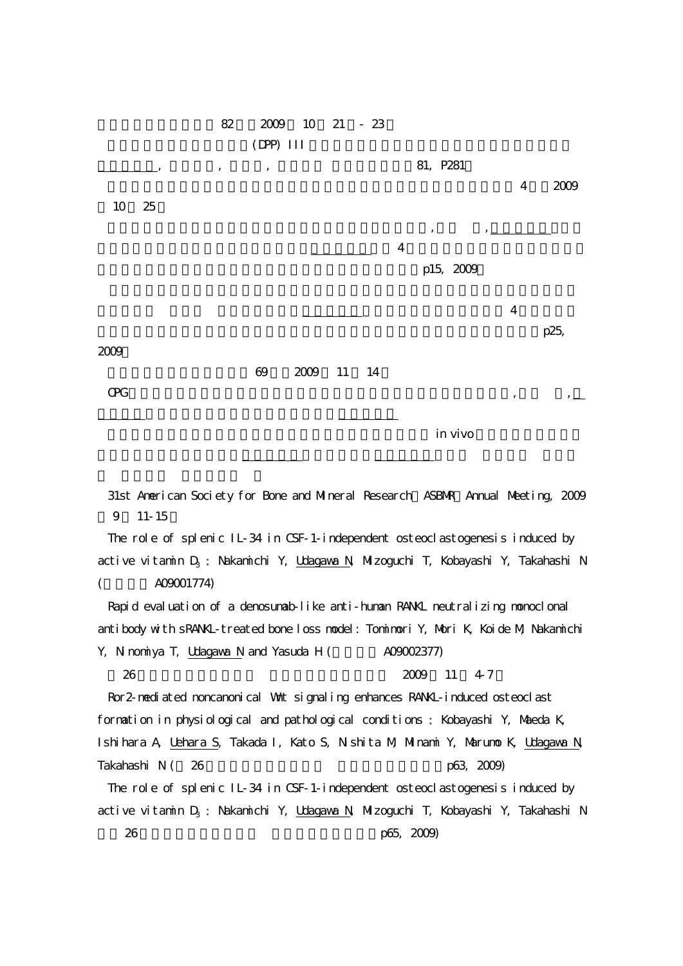

31st American Society for Bone and Mineral Research ASBNR Annual Meeting, 2009 9 11-15

The role of splenic IL-34 in CSF-1-independent osteoclastogenesis induced by active vitamin D<sub>3</sub> : Nakamichi Y, <u>Udagawa N,</u> Mizoguchi T, Kobayashi Y, Takahashi N

 $(A09001774)$ 

Rapid evaluation of a denosumab-like anti-human RANKL neutralizing monoclonal antibody with sRANKL-treated bone loss model: Tomimori Y, Mori K, Koide M, Nakamichi

Y, Ninomiya T, Udagawa N and Yasuda H ( $\qquad \qquad$  A09002377) 26 2009 11 4-7

Ror 2- nediated noncanonical Wnt signaling enhances RANKL-induced osteoclast formation in physiological and pathological conditions : Kobayashi Y, Maeda K, Ishihara A, Uehara S, Takada I, Kato S, Nishita M, Minami Y, Marumo K, Udagawa N, Takahashi N (26  $p63, 2009$ )

The role of splenic IL-34 in CSF-1-independent osteoclastogenesis induced by active vitamin  $D_3$ : Nakamichi Y, Udagawa N, Mizoguchi T, Kobayashi Y, Takahashi N 26 p65, 2009)